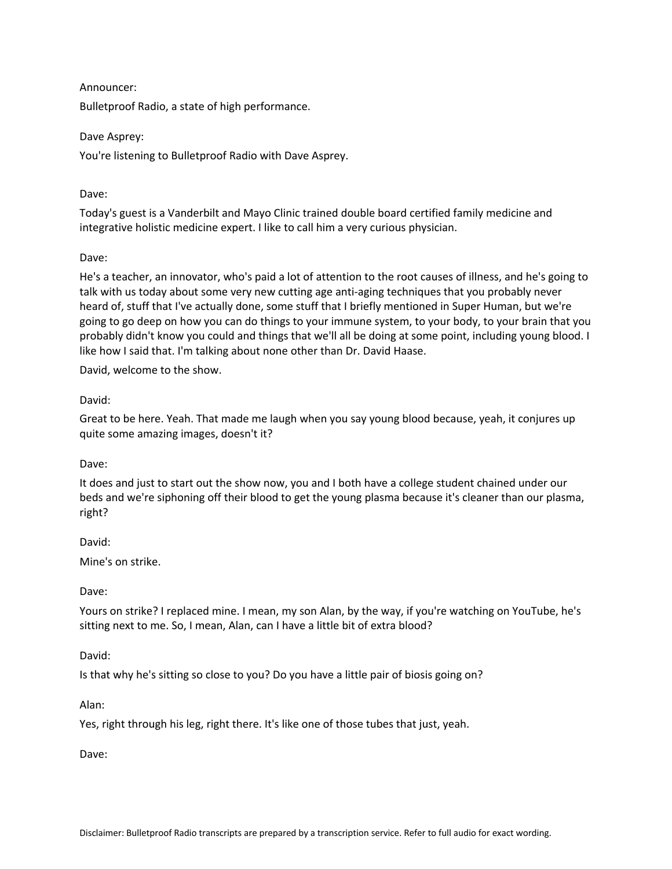## Announcer:

Bulletproof Radio, a state of high performance.

### Dave Asprey:

You're listening to Bulletproof Radio with Dave Asprey.

## Dave:

Today's guest is a Vanderbilt and Mayo Clinic trained double board certified family medicine and integrative holistic medicine expert. I like to call him a very curious physician.

## Dave:

He's a teacher, an innovator, who's paid a lot of attention to the root causes of illness, and he's going to talk with us today about some very new cutting age anti-aging techniques that you probably never heard of, stuff that I've actually done, some stuff that I briefly mentioned in Super Human, but we're going to go deep on how you can do things to your immune system, to your body, to your brain that you probably didn't know you could and things that we'll all be doing at some point, including young blood. I like how I said that. I'm talking about none other than Dr. David Haase.

David, welcome to the show.

## David:

Great to be here. Yeah. That made me laugh when you say young blood because, yeah, it conjures up quite some amazing images, doesn't it?

### Dave:

It does and just to start out the show now, you and I both have a college student chained under our beds and we're siphoning off their blood to get the young plasma because it's cleaner than our plasma, right?

### David:

Mine's on strike.

### Dave:

Yours on strike? I replaced mine. I mean, my son Alan, by the way, if you're watching on YouTube, he's sitting next to me. So, I mean, Alan, can I have a little bit of extra blood?

### David:

Is that why he's sitting so close to you? Do you have a little pair of biosis going on?

### Alan:

Yes, right through his leg, right there. It's like one of those tubes that just, yeah.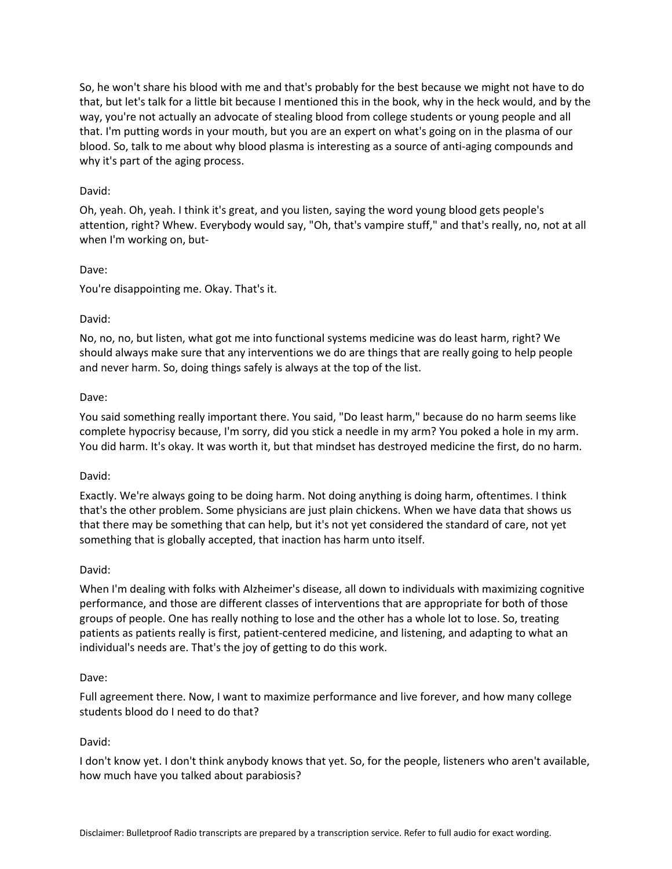So, he won't share his blood with me and that's probably for the best because we might not have to do that, but let's talk for a little bit because I mentioned this in the book, why in the heck would, and by the way, you're not actually an advocate of stealing blood from college students or young people and all that. I'm putting words in your mouth, but you are an expert on what's going on in the plasma of our blood. So, talk to me about why blood plasma is interesting as a source of anti-aging compounds and why it's part of the aging process.

## David:

Oh, yeah. Oh, yeah. I think it's great, and you listen, saying the word young blood gets people's attention, right? Whew. Everybody would say, "Oh, that's vampire stuff," and that's really, no, not at all when I'm working on, but-

## Dave:

You're disappointing me. Okay. That's it.

## David:

No, no, no, but listen, what got me into functional systems medicine was do least harm, right? We should always make sure that any interventions we do are things that are really going to help people and never harm. So, doing things safely is always at the top of the list.

## Dave:

You said something really important there. You said, "Do least harm," because do no harm seems like complete hypocrisy because, I'm sorry, did you stick a needle in my arm? You poked a hole in my arm. You did harm. It's okay. It was worth it, but that mindset has destroyed medicine the first, do no harm.

### David:

Exactly. We're always going to be doing harm. Not doing anything is doing harm, oftentimes. I think that's the other problem. Some physicians are just plain chickens. When we have data that shows us that there may be something that can help, but it's not yet considered the standard of care, not yet something that is globally accepted, that inaction has harm unto itself.

### David:

When I'm dealing with folks with Alzheimer's disease, all down to individuals with maximizing cognitive performance, and those are different classes of interventions that are appropriate for both of those groups of people. One has really nothing to lose and the other has a whole lot to lose. So, treating patients as patients really is first, patient-centered medicine, and listening, and adapting to what an individual's needs are. That's the joy of getting to do this work.

### Dave:

Full agreement there. Now, I want to maximize performance and live forever, and how many college students blood do I need to do that?

## David:

I don't know yet. I don't think anybody knows that yet. So, for the people, listeners who aren't available, how much have you talked about parabiosis?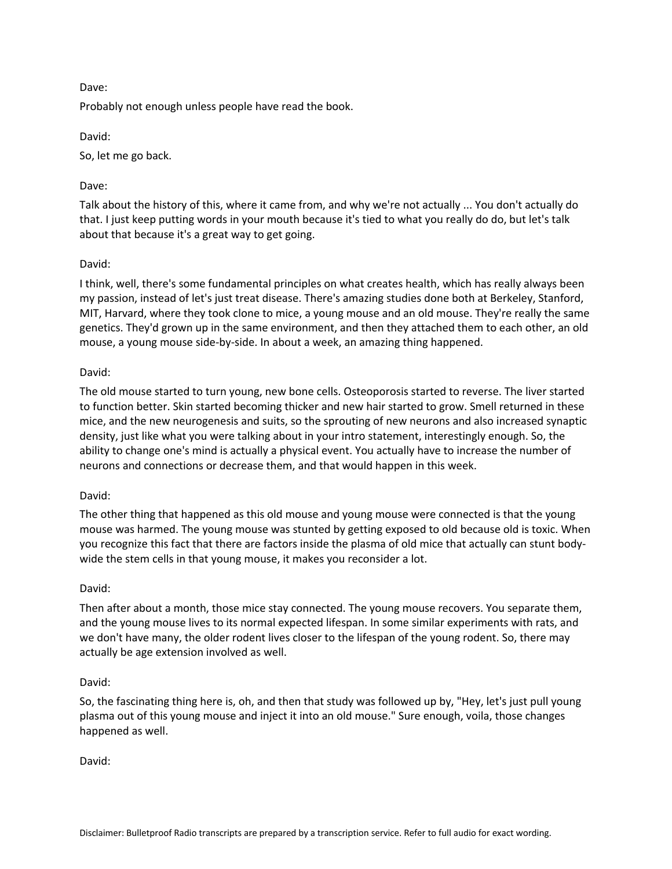Probably not enough unless people have read the book.

David:

So, let me go back.

# Dave:

Talk about the history of this, where it came from, and why we're not actually ... You don't actually do that. I just keep putting words in your mouth because it's tied to what you really do do, but let's talk about that because it's a great way to get going.

# David:

I think, well, there's some fundamental principles on what creates health, which has really always been my passion, instead of let's just treat disease. There's amazing studies done both at Berkeley, Stanford, MIT, Harvard, where they took clone to mice, a young mouse and an old mouse. They're really the same genetics. They'd grown up in the same environment, and then they attached them to each other, an old mouse, a young mouse side-by-side. In about a week, an amazing thing happened.

## David:

The old mouse started to turn young, new bone cells. Osteoporosis started to reverse. The liver started to function better. Skin started becoming thicker and new hair started to grow. Smell returned in these mice, and the new neurogenesis and suits, so the sprouting of new neurons and also increased synaptic density, just like what you were talking about in your intro statement, interestingly enough. So, the ability to change one's mind is actually a physical event. You actually have to increase the number of neurons and connections or decrease them, and that would happen in this week.

## David:

The other thing that happened as this old mouse and young mouse were connected is that the young mouse was harmed. The young mouse was stunted by getting exposed to old because old is toxic. When you recognize this fact that there are factors inside the plasma of old mice that actually can stunt bodywide the stem cells in that young mouse, it makes you reconsider a lot.

## David:

Then after about a month, those mice stay connected. The young mouse recovers. You separate them, and the young mouse lives to its normal expected lifespan. In some similar experiments with rats, and we don't have many, the older rodent lives closer to the lifespan of the young rodent. So, there may actually be age extension involved as well.

## David:

So, the fascinating thing here is, oh, and then that study was followed up by, "Hey, let's just pull young plasma out of this young mouse and inject it into an old mouse." Sure enough, voila, those changes happened as well.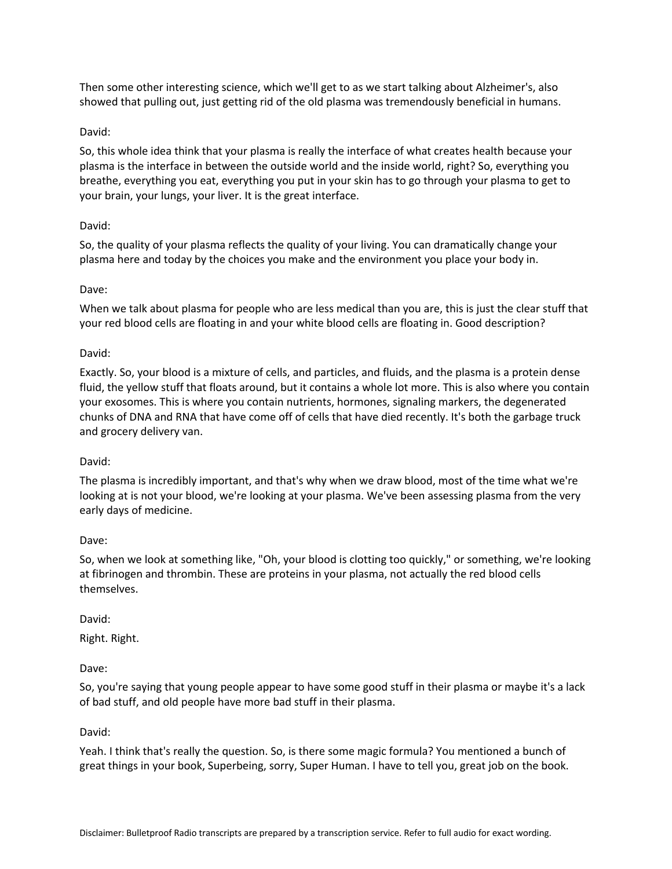Then some other interesting science, which we'll get to as we start talking about Alzheimer's, also showed that pulling out, just getting rid of the old plasma was tremendously beneficial in humans.

# David:

So, this whole idea think that your plasma is really the interface of what creates health because your plasma is the interface in between the outside world and the inside world, right? So, everything you breathe, everything you eat, everything you put in your skin has to go through your plasma to get to your brain, your lungs, your liver. It is the great interface.

## David:

So, the quality of your plasma reflects the quality of your living. You can dramatically change your plasma here and today by the choices you make and the environment you place your body in.

# Dave:

When we talk about plasma for people who are less medical than you are, this is just the clear stuff that your red blood cells are floating in and your white blood cells are floating in. Good description?

# David:

Exactly. So, your blood is a mixture of cells, and particles, and fluids, and the plasma is a protein dense fluid, the yellow stuff that floats around, but it contains a whole lot more. This is also where you contain your exosomes. This is where you contain nutrients, hormones, signaling markers, the degenerated chunks of DNA and RNA that have come off of cells that have died recently. It's both the garbage truck and grocery delivery van.

## David:

The plasma is incredibly important, and that's why when we draw blood, most of the time what we're looking at is not your blood, we're looking at your plasma. We've been assessing plasma from the very early days of medicine.

## Dave:

So, when we look at something like, "Oh, your blood is clotting too quickly," or something, we're looking at fibrinogen and thrombin. These are proteins in your plasma, not actually the red blood cells themselves.

## David:

Right. Right.

## Dave:

So, you're saying that young people appear to have some good stuff in their plasma or maybe it's a lack of bad stuff, and old people have more bad stuff in their plasma.

## David:

Yeah. I think that's really the question. So, is there some magic formula? You mentioned a bunch of great things in your book, Superbeing, sorry, Super Human. I have to tell you, great job on the book.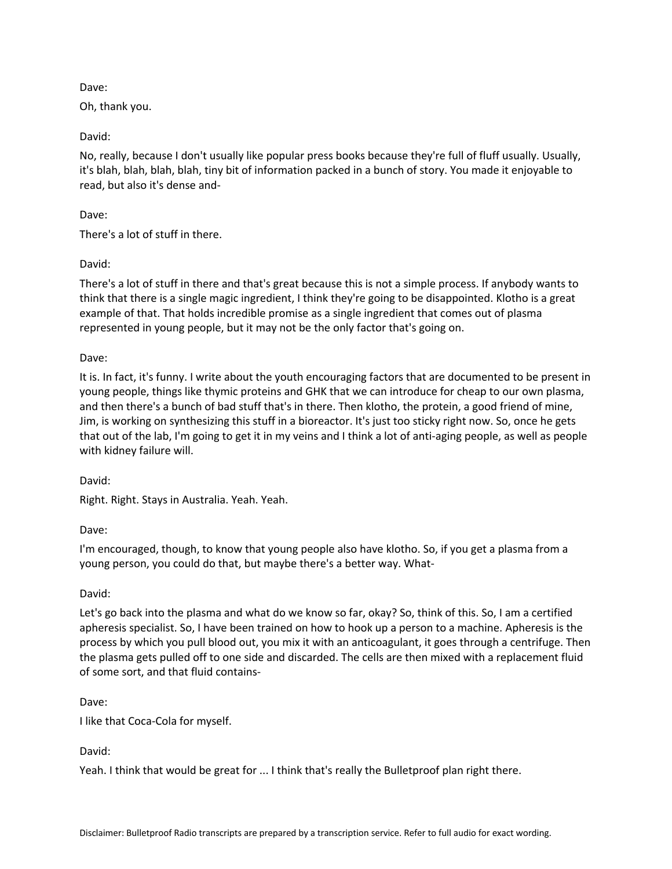Oh, thank you.

David:

No, really, because I don't usually like popular press books because they're full of fluff usually. Usually, it's blah, blah, blah, blah, tiny bit of information packed in a bunch of story. You made it enjoyable to read, but also it's dense and-

Dave:

There's a lot of stuff in there.

David:

There's a lot of stuff in there and that's great because this is not a simple process. If anybody wants to think that there is a single magic ingredient, I think they're going to be disappointed. Klotho is a great example of that. That holds incredible promise as a single ingredient that comes out of plasma represented in young people, but it may not be the only factor that's going on.

Dave:

It is. In fact, it's funny. I write about the youth encouraging factors that are documented to be present in young people, things like thymic proteins and GHK that we can introduce for cheap to our own plasma, and then there's a bunch of bad stuff that's in there. Then klotho, the protein, a good friend of mine, Jim, is working on synthesizing this stuff in a bioreactor. It's just too sticky right now. So, once he gets that out of the lab, I'm going to get it in my veins and I think a lot of anti-aging people, as well as people with kidney failure will.

David:

Right. Right. Stays in Australia. Yeah. Yeah.

Dave:

I'm encouraged, though, to know that young people also have klotho. So, if you get a plasma from a young person, you could do that, but maybe there's a better way. What-

David:

Let's go back into the plasma and what do we know so far, okay? So, think of this. So, I am a certified apheresis specialist. So, I have been trained on how to hook up a person to a machine. Apheresis is the process by which you pull blood out, you mix it with an anticoagulant, it goes through a centrifuge. Then the plasma gets pulled off to one side and discarded. The cells are then mixed with a replacement fluid of some sort, and that fluid contains-

Dave:

I like that Coca-Cola for myself.

David:

Yeah. I think that would be great for ... I think that's really the Bulletproof plan right there.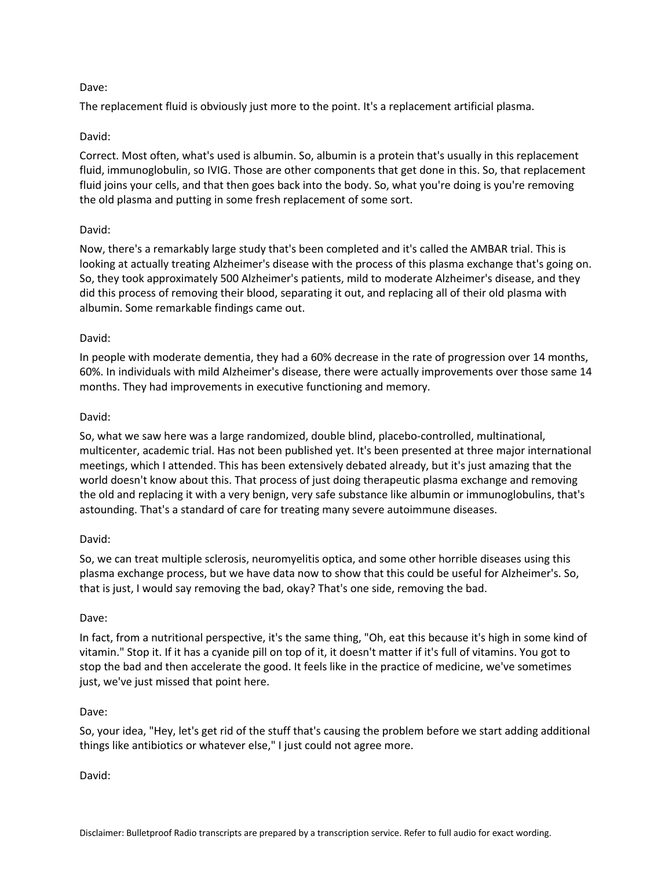The replacement fluid is obviously just more to the point. It's a replacement artificial plasma.

## David:

Correct. Most often, what's used is albumin. So, albumin is a protein that's usually in this replacement fluid, immunoglobulin, so IVIG. Those are other components that get done in this. So, that replacement fluid joins your cells, and that then goes back into the body. So, what you're doing is you're removing the old plasma and putting in some fresh replacement of some sort.

## David:

Now, there's a remarkably large study that's been completed and it's called the AMBAR trial. This is looking at actually treating Alzheimer's disease with the process of this plasma exchange that's going on. So, they took approximately 500 Alzheimer's patients, mild to moderate Alzheimer's disease, and they did this process of removing their blood, separating it out, and replacing all of their old plasma with albumin. Some remarkable findings came out.

## David:

In people with moderate dementia, they had a 60% decrease in the rate of progression over 14 months, 60%. In individuals with mild Alzheimer's disease, there were actually improvements over those same 14 months. They had improvements in executive functioning and memory.

## David:

So, what we saw here was a large randomized, double blind, placebo-controlled, multinational, multicenter, academic trial. Has not been published yet. It's been presented at three major international meetings, which I attended. This has been extensively debated already, but it's just amazing that the world doesn't know about this. That process of just doing therapeutic plasma exchange and removing the old and replacing it with a very benign, very safe substance like albumin or immunoglobulins, that's astounding. That's a standard of care for treating many severe autoimmune diseases.

### David:

So, we can treat multiple sclerosis, neuromyelitis optica, and some other horrible diseases using this plasma exchange process, but we have data now to show that this could be useful for Alzheimer's. So, that is just, I would say removing the bad, okay? That's one side, removing the bad.

### Dave:

In fact, from a nutritional perspective, it's the same thing, "Oh, eat this because it's high in some kind of vitamin." Stop it. If it has a cyanide pill on top of it, it doesn't matter if it's full of vitamins. You got to stop the bad and then accelerate the good. It feels like in the practice of medicine, we've sometimes just, we've just missed that point here.

### Dave:

So, your idea, "Hey, let's get rid of the stuff that's causing the problem before we start adding additional things like antibiotics or whatever else," I just could not agree more.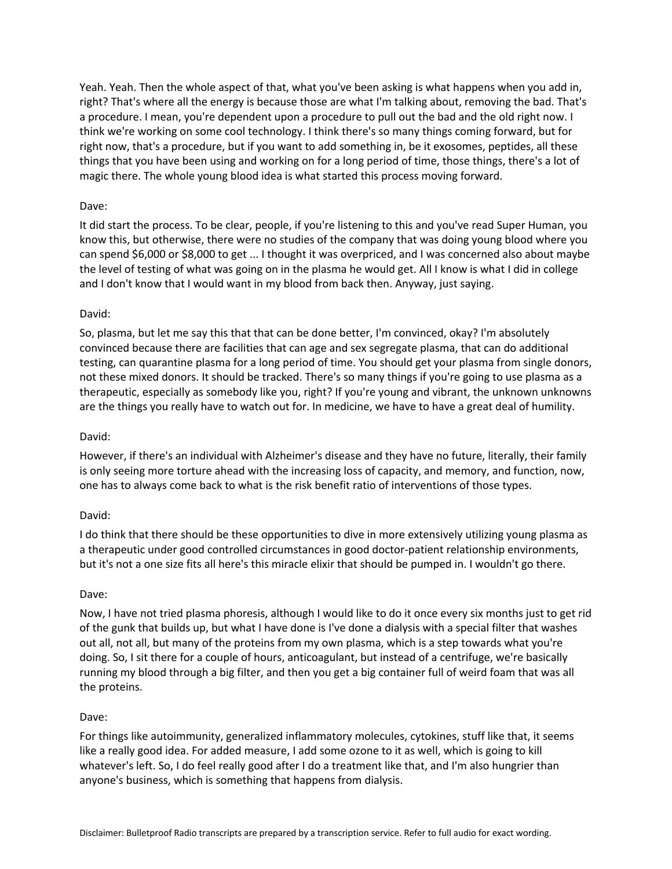Yeah. Yeah. Then the whole aspect of that, what you've been asking is what happens when you add in, right? That's where all the energy is because those are what I'm talking about, removing the bad. That's a procedure. I mean, you're dependent upon a procedure to pull out the bad and the old right now. I think we're working on some cool technology. I think there's so many things coming forward, but for right now, that's a procedure, but if you want to add something in, be it exosomes, peptides, all these things that you have been using and working on for a long period of time, those things, there's a lot of magic there. The whole young blood idea is what started this process moving forward.

### Dave:

It did start the process. To be clear, people, if you're listening to this and you've read Super Human, you know this, but otherwise, there were no studies of the company that was doing young blood where you can spend \$6,000 or \$8,000 to get ... I thought it was overpriced, and I was concerned also about maybe the level of testing of what was going on in the plasma he would get. All I know is what I did in college and I don't know that I would want in my blood from back then. Anyway, just saying.

### David:

So, plasma, but let me say this that that can be done better, I'm convinced, okay? I'm absolutely convinced because there are facilities that can age and sex segregate plasma, that can do additional testing, can quarantine plasma for a long period of time. You should get your plasma from single donors, not these mixed donors. It should be tracked. There's so many things if you're going to use plasma as a therapeutic, especially as somebody like you, right? If you're young and vibrant, the unknown unknowns are the things you really have to watch out for. In medicine, we have to have a great deal of humility.

### David:

However, if there's an individual with Alzheimer's disease and they have no future, literally, their family is only seeing more torture ahead with the increasing loss of capacity, and memory, and function, now, one has to always come back to what is the risk benefit ratio of interventions of those types.

### David:

I do think that there should be these opportunities to dive in more extensively utilizing young plasma as a therapeutic under good controlled circumstances in good doctor-patient relationship environments, but it's not a one size fits all here's this miracle elixir that should be pumped in. I wouldn't go there.

### Dave:

Now, I have not tried plasma phoresis, although I would like to do it once every six months just to get rid of the gunk that builds up, but what I have done is I've done a dialysis with a special filter that washes out all, not all, but many of the proteins from my own plasma, which is a step towards what you're doing. So, I sit there for a couple of hours, anticoagulant, but instead of a centrifuge, we're basically running my blood through a big filter, and then you get a big container full of weird foam that was all the proteins.

### Dave:

For things like autoimmunity, generalized inflammatory molecules, cytokines, stuff like that, it seems like a really good idea. For added measure, I add some ozone to it as well, which is going to kill whatever's left. So, I do feel really good after I do a treatment like that, and I'm also hungrier than anyone's business, which is something that happens from dialysis.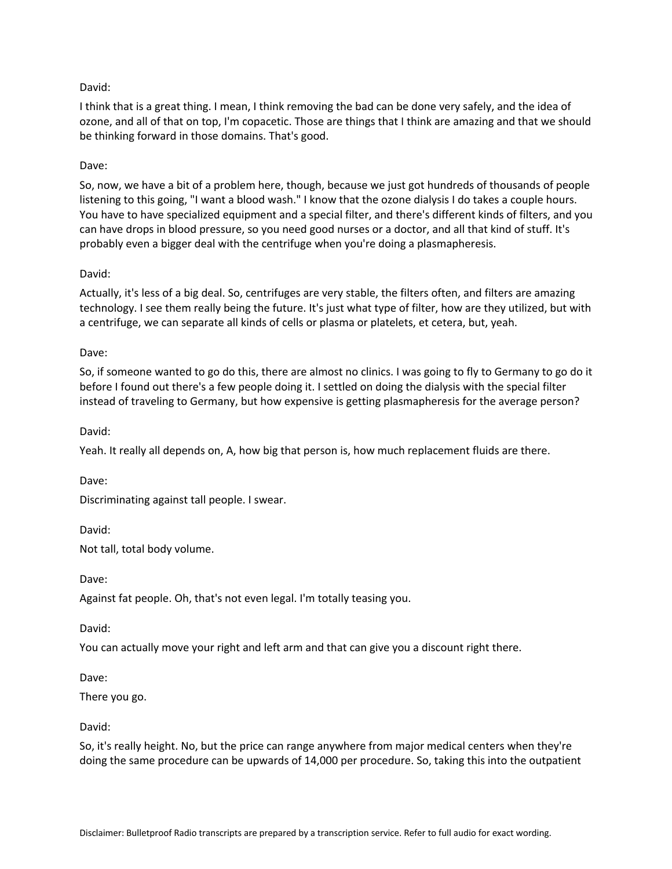## David:

I think that is a great thing. I mean, I think removing the bad can be done very safely, and the idea of ozone, and all of that on top, I'm copacetic. Those are things that I think are amazing and that we should be thinking forward in those domains. That's good.

# Dave:

So, now, we have a bit of a problem here, though, because we just got hundreds of thousands of people listening to this going, "I want a blood wash." I know that the ozone dialysis I do takes a couple hours. You have to have specialized equipment and a special filter, and there's different kinds of filters, and you can have drops in blood pressure, so you need good nurses or a doctor, and all that kind of stuff. It's probably even a bigger deal with the centrifuge when you're doing a plasmapheresis.

## David:

Actually, it's less of a big deal. So, centrifuges are very stable, the filters often, and filters are amazing technology. I see them really being the future. It's just what type of filter, how are they utilized, but with a centrifuge, we can separate all kinds of cells or plasma or platelets, et cetera, but, yeah.

## Dave:

So, if someone wanted to go do this, there are almost no clinics. I was going to fly to Germany to go do it before I found out there's a few people doing it. I settled on doing the dialysis with the special filter instead of traveling to Germany, but how expensive is getting plasmapheresis for the average person?

David:

Yeah. It really all depends on, A, how big that person is, how much replacement fluids are there.

Dave:

Discriminating against tall people. I swear.

David: Not tall, total body volume.

Dave:

Against fat people. Oh, that's not even legal. I'm totally teasing you.

David:

You can actually move your right and left arm and that can give you a discount right there.

Dave:

There you go.

## David:

So, it's really height. No, but the price can range anywhere from major medical centers when they're doing the same procedure can be upwards of 14,000 per procedure. So, taking this into the outpatient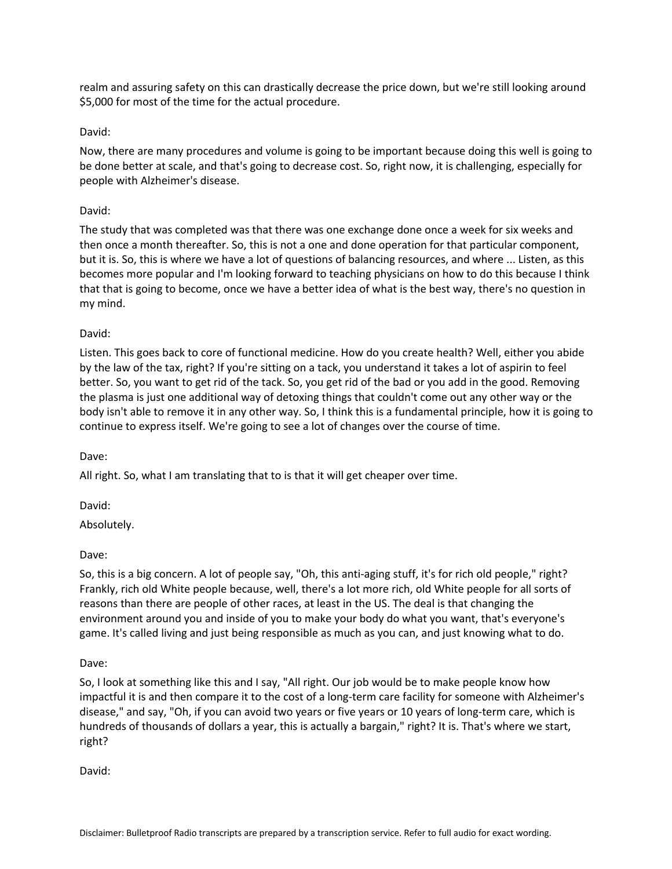realm and assuring safety on this can drastically decrease the price down, but we're still looking around \$5,000 for most of the time for the actual procedure.

## David:

Now, there are many procedures and volume is going to be important because doing this well is going to be done better at scale, and that's going to decrease cost. So, right now, it is challenging, especially for people with Alzheimer's disease.

### David:

The study that was completed was that there was one exchange done once a week for six weeks and then once a month thereafter. So, this is not a one and done operation for that particular component, but it is. So, this is where we have a lot of questions of balancing resources, and where ... Listen, as this becomes more popular and I'm looking forward to teaching physicians on how to do this because I think that that is going to become, once we have a better idea of what is the best way, there's no question in my mind.

## David:

Listen. This goes back to core of functional medicine. How do you create health? Well, either you abide by the law of the tax, right? If you're sitting on a tack, you understand it takes a lot of aspirin to feel better. So, you want to get rid of the tack. So, you get rid of the bad or you add in the good. Removing the plasma is just one additional way of detoxing things that couldn't come out any other way or the body isn't able to remove it in any other way. So, I think this is a fundamental principle, how it is going to continue to express itself. We're going to see a lot of changes over the course of time.

### Dave:

All right. So, what I am translating that to is that it will get cheaper over time.

David:

Absolutely.

Dave:

So, this is a big concern. A lot of people say, "Oh, this anti-aging stuff, it's for rich old people," right? Frankly, rich old White people because, well, there's a lot more rich, old White people for all sorts of reasons than there are people of other races, at least in the US. The deal is that changing the environment around you and inside of you to make your body do what you want, that's everyone's game. It's called living and just being responsible as much as you can, and just knowing what to do.

### Dave:

So, I look at something like this and I say, "All right. Our job would be to make people know how impactful it is and then compare it to the cost of a long-term care facility for someone with Alzheimer's disease," and say, "Oh, if you can avoid two years or five years or 10 years of long-term care, which is hundreds of thousands of dollars a year, this is actually a bargain," right? It is. That's where we start, right?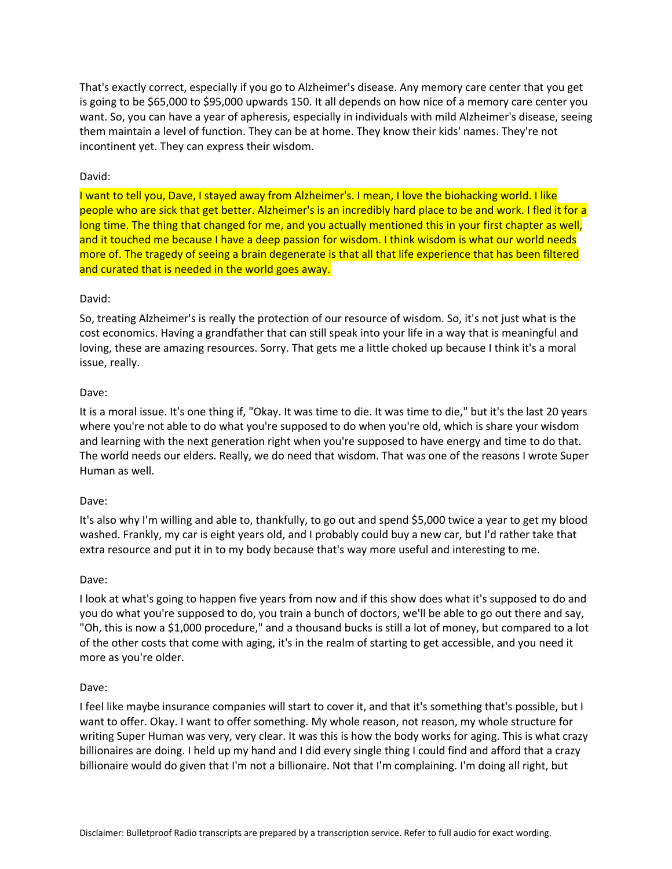That's exactly correct, especially if you go to Alzheimer's disease. Any memory care center that you get is going to be \$65,000 to \$95,000 upwards 150. It all depends on how nice of a memory care center you want. So, you can have a year of apheresis, especially in individuals with mild Alzheimer's disease, seeing them maintain a level of function. They can be at home. They know their kids' names. They're not incontinent yet. They can express their wisdom.

## David:

I want to tell you, Dave, I stayed away from Alzheimer's. I mean, I love the biohacking world. I like people who are sick that get better. Alzheimer's is an incredibly hard place to be and work. I fled it for a long time. The thing that changed for me, and you actually mentioned this in your first chapter as well, and it touched me because I have a deep passion for wisdom. I think wisdom is what our world needs more of. The tragedy of seeing a brain degenerate is that all that life experience that has been filtered and curated that is needed in the world goes away.

## David:

So, treating Alzheimer's is really the protection of our resource of wisdom. So, it's not just what is the cost economics. Having a grandfather that can still speak into your life in a way that is meaningful and loving, these are amazing resources. Sorry. That gets me a little choked up because I think it's a moral issue, really.

## Dave:

It is a moral issue. It's one thing if, "Okay. It was time to die. It was time to die," but it's the last 20 years where you're not able to do what you're supposed to do when you're old, which is share your wisdom and learning with the next generation right when you're supposed to have energy and time to do that. The world needs our elders. Really, we do need that wisdom. That was one of the reasons I wrote Super Human as well.

### Dave:

It's also why I'm willing and able to, thankfully, to go out and spend \$5,000 twice a year to get my blood washed. Frankly, my car is eight years old, and I probably could buy a new car, but I'd rather take that extra resource and put it in to my body because that's way more useful and interesting to me.

### Dave:

I look at what's going to happen five years from now and if this show does what it's supposed to do and you do what you're supposed to do, you train a bunch of doctors, we'll be able to go out there and say, "Oh, this is now a \$1,000 procedure," and a thousand bucks is still a lot of money, but compared to a lot of the other costs that come with aging, it's in the realm of starting to get accessible, and you need it more as you're older.

### Dave:

I feel like maybe insurance companies will start to cover it, and that it's something that's possible, but I want to offer. Okay. I want to offer something. My whole reason, not reason, my whole structure for writing Super Human was very, very clear. It was this is how the body works for aging. This is what crazy billionaires are doing. I held up my hand and I did every single thing I could find and afford that a crazy billionaire would do given that I'm not a billionaire. Not that I'm complaining. I'm doing all right, but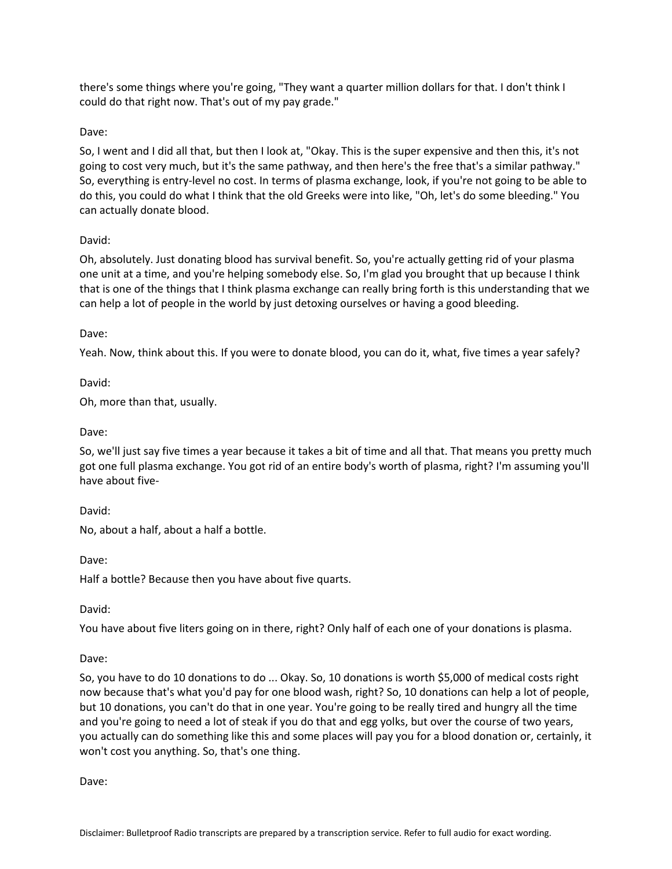there's some things where you're going, "They want a quarter million dollars for that. I don't think I could do that right now. That's out of my pay grade."

## Dave:

So, I went and I did all that, but then I look at, "Okay. This is the super expensive and then this, it's not going to cost very much, but it's the same pathway, and then here's the free that's a similar pathway." So, everything is entry-level no cost. In terms of plasma exchange, look, if you're not going to be able to do this, you could do what I think that the old Greeks were into like, "Oh, let's do some bleeding." You can actually donate blood.

## David:

Oh, absolutely. Just donating blood has survival benefit. So, you're actually getting rid of your plasma one unit at a time, and you're helping somebody else. So, I'm glad you brought that up because I think that is one of the things that I think plasma exchange can really bring forth is this understanding that we can help a lot of people in the world by just detoxing ourselves or having a good bleeding.

## Dave:

Yeah. Now, think about this. If you were to donate blood, you can do it, what, five times a year safely?

David:

Oh, more than that, usually.

### Dave:

So, we'll just say five times a year because it takes a bit of time and all that. That means you pretty much got one full plasma exchange. You got rid of an entire body's worth of plasma, right? I'm assuming you'll have about five-

David:

No, about a half, about a half a bottle.

Dave:

Half a bottle? Because then you have about five quarts.

David:

You have about five liters going on in there, right? Only half of each one of your donations is plasma.

## Dave:

So, you have to do 10 donations to do ... Okay. So, 10 donations is worth \$5,000 of medical costs right now because that's what you'd pay for one blood wash, right? So, 10 donations can help a lot of people, but 10 donations, you can't do that in one year. You're going to be really tired and hungry all the time and you're going to need a lot of steak if you do that and egg yolks, but over the course of two years, you actually can do something like this and some places will pay you for a blood donation or, certainly, it won't cost you anything. So, that's one thing.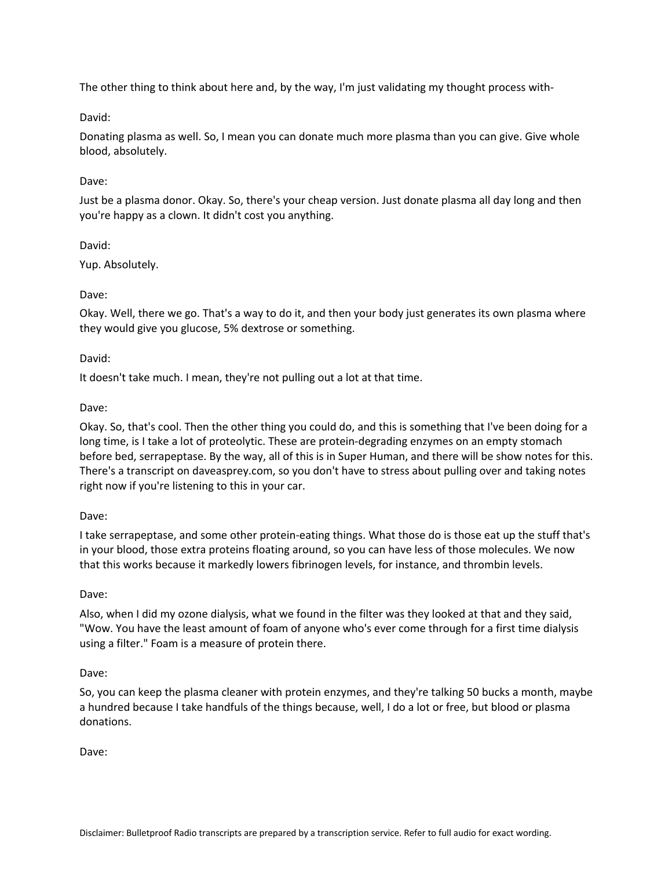The other thing to think about here and, by the way, I'm just validating my thought process with-

## David:

Donating plasma as well. So, I mean you can donate much more plasma than you can give. Give whole blood, absolutely.

## Dave:

Just be a plasma donor. Okay. So, there's your cheap version. Just donate plasma all day long and then you're happy as a clown. It didn't cost you anything.

## David:

Yup. Absolutely.

## Dave:

Okay. Well, there we go. That's a way to do it, and then your body just generates its own plasma where they would give you glucose, 5% dextrose or something.

## David:

It doesn't take much. I mean, they're not pulling out a lot at that time.

## Dave:

Okay. So, that's cool. Then the other thing you could do, and this is something that I've been doing for a long time, is I take a lot of proteolytic. These are protein-degrading enzymes on an empty stomach before bed, serrapeptase. By the way, all of this is in Super Human, and there will be show notes for this. There's a transcript on daveasprey.com, so you don't have to stress about pulling over and taking notes right now if you're listening to this in your car.

### Dave:

I take serrapeptase, and some other protein-eating things. What those do is those eat up the stuff that's in your blood, those extra proteins floating around, so you can have less of those molecules. We now that this works because it markedly lowers fibrinogen levels, for instance, and thrombin levels.

### Dave:

Also, when I did my ozone dialysis, what we found in the filter was they looked at that and they said, "Wow. You have the least amount of foam of anyone who's ever come through for a first time dialysis using a filter." Foam is a measure of protein there.

### Dave:

So, you can keep the plasma cleaner with protein enzymes, and they're talking 50 bucks a month, maybe a hundred because I take handfuls of the things because, well, I do a lot or free, but blood or plasma donations.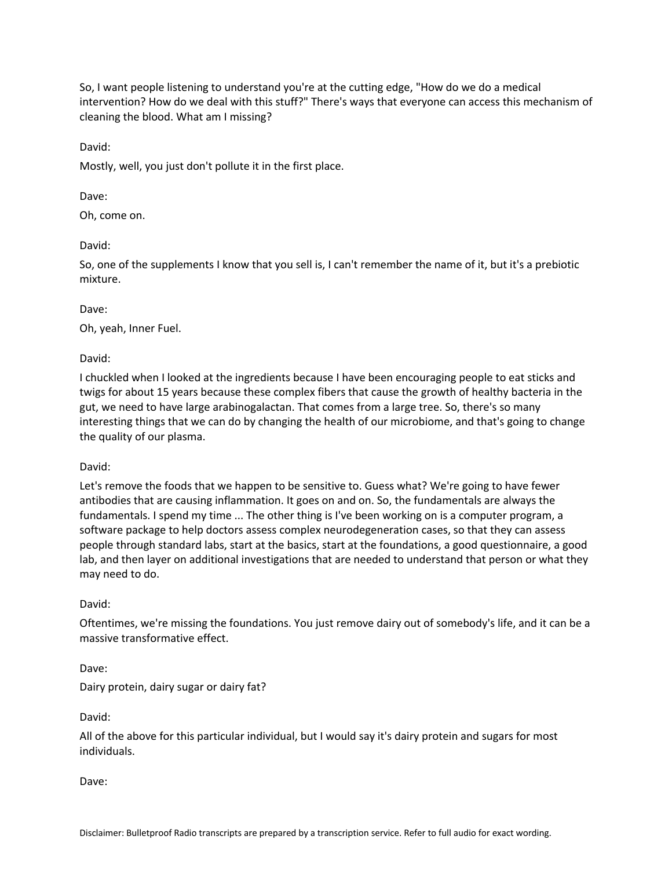So, I want people listening to understand you're at the cutting edge, "How do we do a medical intervention? How do we deal with this stuff?" There's ways that everyone can access this mechanism of cleaning the blood. What am I missing?

David:

Mostly, well, you just don't pollute it in the first place.

Dave:

Oh, come on.

David:

So, one of the supplements I know that you sell is, I can't remember the name of it, but it's a prebiotic mixture.

Dave:

Oh, yeah, Inner Fuel.

David:

I chuckled when I looked at the ingredients because I have been encouraging people to eat sticks and twigs for about 15 years because these complex fibers that cause the growth of healthy bacteria in the gut, we need to have large arabinogalactan. That comes from a large tree. So, there's so many interesting things that we can do by changing the health of our microbiome, and that's going to change the quality of our plasma.

David:

Let's remove the foods that we happen to be sensitive to. Guess what? We're going to have fewer antibodies that are causing inflammation. It goes on and on. So, the fundamentals are always the fundamentals. I spend my time ... The other thing is I've been working on is a computer program, a software package to help doctors assess complex neurodegeneration cases, so that they can assess people through standard labs, start at the basics, start at the foundations, a good questionnaire, a good lab, and then layer on additional investigations that are needed to understand that person or what they may need to do.

### David:

Oftentimes, we're missing the foundations. You just remove dairy out of somebody's life, and it can be a massive transformative effect.

Dave:

Dairy protein, dairy sugar or dairy fat?

David:

All of the above for this particular individual, but I would say it's dairy protein and sugars for most individuals.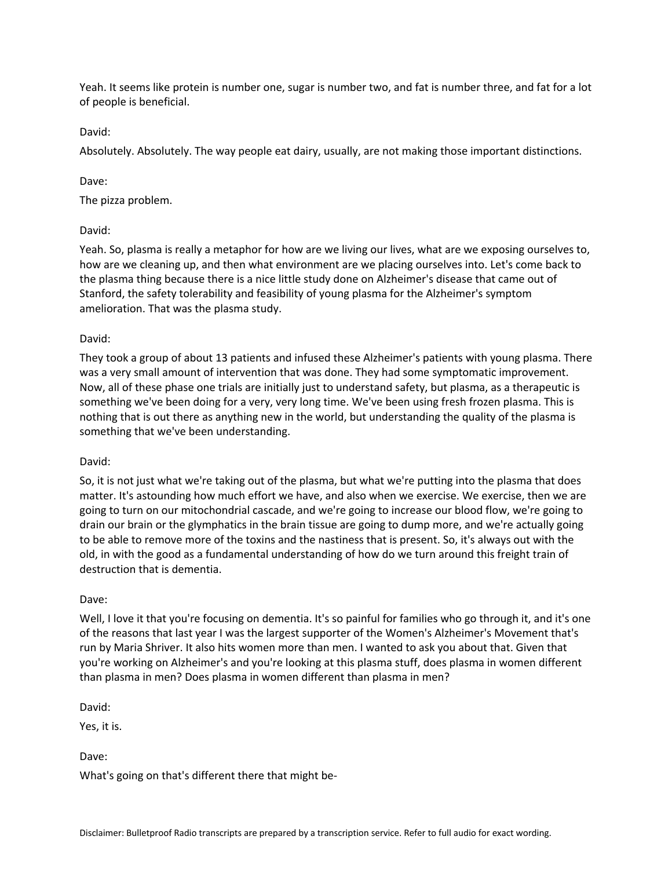Yeah. It seems like protein is number one, sugar is number two, and fat is number three, and fat for a lot of people is beneficial.

David:

Absolutely. Absolutely. The way people eat dairy, usually, are not making those important distinctions.

Dave:

The pizza problem.

## David:

Yeah. So, plasma is really a metaphor for how are we living our lives, what are we exposing ourselves to, how are we cleaning up, and then what environment are we placing ourselves into. Let's come back to the plasma thing because there is a nice little study done on Alzheimer's disease that came out of Stanford, the safety tolerability and feasibility of young plasma for the Alzheimer's symptom amelioration. That was the plasma study.

## David:

They took a group of about 13 patients and infused these Alzheimer's patients with young plasma. There was a very small amount of intervention that was done. They had some symptomatic improvement. Now, all of these phase one trials are initially just to understand safety, but plasma, as a therapeutic is something we've been doing for a very, very long time. We've been using fresh frozen plasma. This is nothing that is out there as anything new in the world, but understanding the quality of the plasma is something that we've been understanding.

### David:

So, it is not just what we're taking out of the plasma, but what we're putting into the plasma that does matter. It's astounding how much effort we have, and also when we exercise. We exercise, then we are going to turn on our mitochondrial cascade, and we're going to increase our blood flow, we're going to drain our brain or the glymphatics in the brain tissue are going to dump more, and we're actually going to be able to remove more of the toxins and the nastiness that is present. So, it's always out with the old, in with the good as a fundamental understanding of how do we turn around this freight train of destruction that is dementia.

### Dave:

Well, I love it that you're focusing on dementia. It's so painful for families who go through it, and it's one of the reasons that last year I was the largest supporter of the Women's Alzheimer's Movement that's run by Maria Shriver. It also hits women more than men. I wanted to ask you about that. Given that you're working on Alzheimer's and you're looking at this plasma stuff, does plasma in women different than plasma in men? Does plasma in women different than plasma in men?

David:

Yes, it is.

Dave:

What's going on that's different there that might be-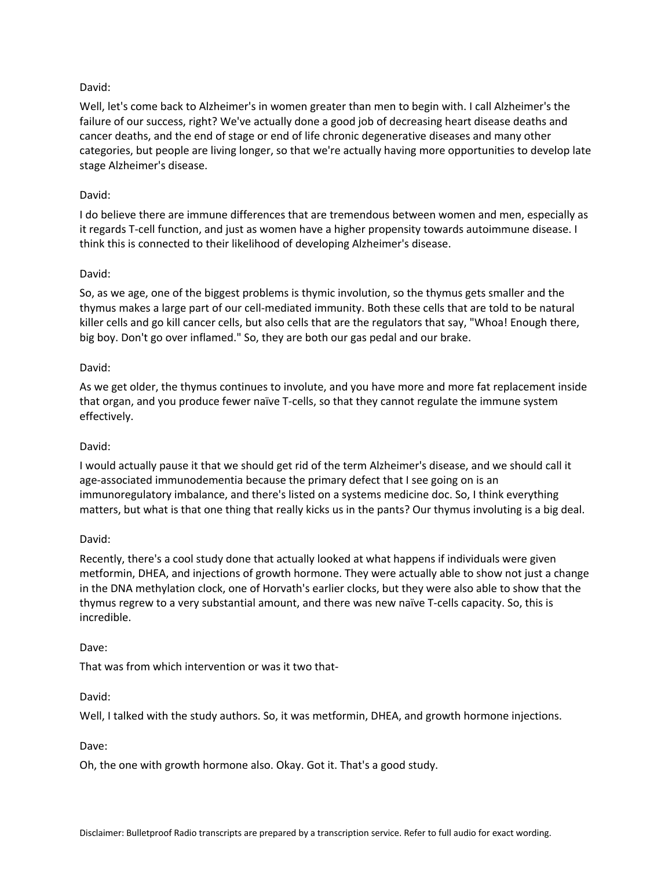# David:

Well, let's come back to Alzheimer's in women greater than men to begin with. I call Alzheimer's the failure of our success, right? We've actually done a good job of decreasing heart disease deaths and cancer deaths, and the end of stage or end of life chronic degenerative diseases and many other categories, but people are living longer, so that we're actually having more opportunities to develop late stage Alzheimer's disease.

# David:

I do believe there are immune differences that are tremendous between women and men, especially as it regards T-cell function, and just as women have a higher propensity towards autoimmune disease. I think this is connected to their likelihood of developing Alzheimer's disease.

# David:

So, as we age, one of the biggest problems is thymic involution, so the thymus gets smaller and the thymus makes a large part of our cell-mediated immunity. Both these cells that are told to be natural killer cells and go kill cancer cells, but also cells that are the regulators that say, "Whoa! Enough there, big boy. Don't go over inflamed." So, they are both our gas pedal and our brake.

# David:

As we get older, the thymus continues to involute, and you have more and more fat replacement inside that organ, and you produce fewer naïve T-cells, so that they cannot regulate the immune system effectively.

## David:

I would actually pause it that we should get rid of the term Alzheimer's disease, and we should call it age-associated immunodementia because the primary defect that I see going on is an immunoregulatory imbalance, and there's listed on a systems medicine doc. So, I think everything matters, but what is that one thing that really kicks us in the pants? Our thymus involuting is a big deal.

## David:

Recently, there's a cool study done that actually looked at what happens if individuals were given metformin, DHEA, and injections of growth hormone. They were actually able to show not just a change in the DNA methylation clock, one of Horvath's earlier clocks, but they were also able to show that the thymus regrew to a very substantial amount, and there was new naïve T-cells capacity. So, this is incredible.

## Dave:

That was from which intervention or was it two that-

## David:

Well, I talked with the study authors. So, it was metformin, DHEA, and growth hormone injections.

## Dave:

Oh, the one with growth hormone also. Okay. Got it. That's a good study.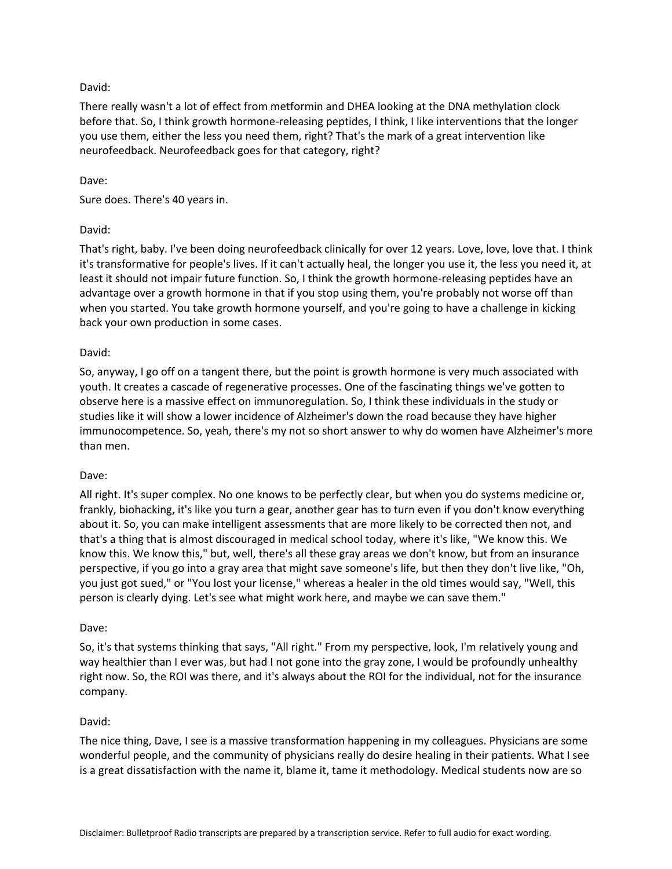## David:

There really wasn't a lot of effect from metformin and DHEA looking at the DNA methylation clock before that. So, I think growth hormone-releasing peptides, I think, I like interventions that the longer you use them, either the less you need them, right? That's the mark of a great intervention like neurofeedback. Neurofeedback goes for that category, right?

### Dave:

Sure does. There's 40 years in.

## David:

That's right, baby. I've been doing neurofeedback clinically for over 12 years. Love, love, love that. I think it's transformative for people's lives. If it can't actually heal, the longer you use it, the less you need it, at least it should not impair future function. So, I think the growth hormone-releasing peptides have an advantage over a growth hormone in that if you stop using them, you're probably not worse off than when you started. You take growth hormone yourself, and you're going to have a challenge in kicking back your own production in some cases.

### David:

So, anyway, I go off on a tangent there, but the point is growth hormone is very much associated with youth. It creates a cascade of regenerative processes. One of the fascinating things we've gotten to observe here is a massive effect on immunoregulation. So, I think these individuals in the study or studies like it will show a lower incidence of Alzheimer's down the road because they have higher immunocompetence. So, yeah, there's my not so short answer to why do women have Alzheimer's more than men.

### Dave:

All right. It's super complex. No one knows to be perfectly clear, but when you do systems medicine or, frankly, biohacking, it's like you turn a gear, another gear has to turn even if you don't know everything about it. So, you can make intelligent assessments that are more likely to be corrected then not, and that's a thing that is almost discouraged in medical school today, where it's like, "We know this. We know this. We know this," but, well, there's all these gray areas we don't know, but from an insurance perspective, if you go into a gray area that might save someone's life, but then they don't live like, "Oh, you just got sued," or "You lost your license," whereas a healer in the old times would say, "Well, this person is clearly dying. Let's see what might work here, and maybe we can save them."

### Dave:

So, it's that systems thinking that says, "All right." From my perspective, look, I'm relatively young and way healthier than I ever was, but had I not gone into the gray zone, I would be profoundly unhealthy right now. So, the ROI was there, and it's always about the ROI for the individual, not for the insurance company.

### David:

The nice thing, Dave, I see is a massive transformation happening in my colleagues. Physicians are some wonderful people, and the community of physicians really do desire healing in their patients. What I see is a great dissatisfaction with the name it, blame it, tame it methodology. Medical students now are so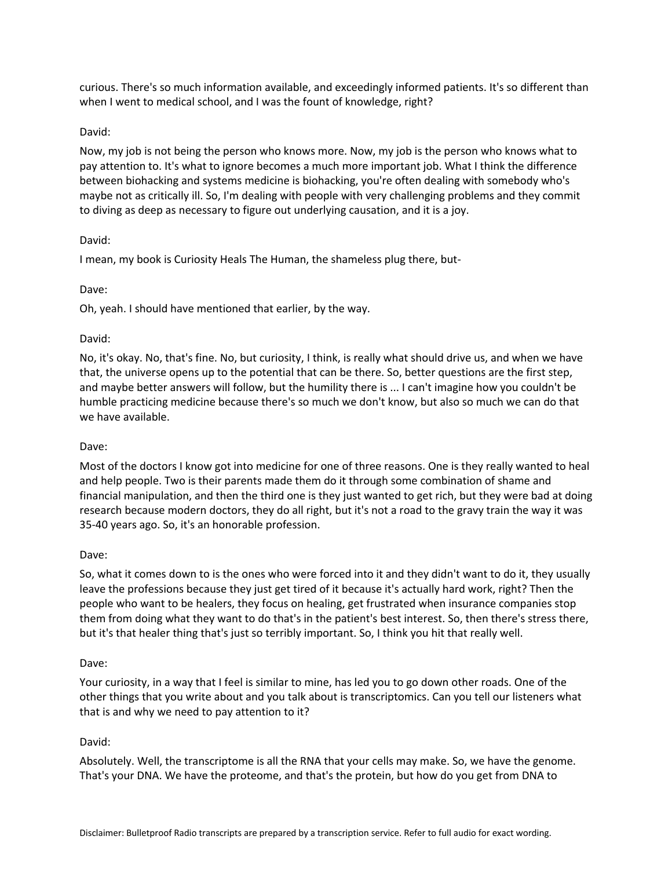curious. There's so much information available, and exceedingly informed patients. It's so different than when I went to medical school, and I was the fount of knowledge, right?

### David:

Now, my job is not being the person who knows more. Now, my job is the person who knows what to pay attention to. It's what to ignore becomes a much more important job. What I think the difference between biohacking and systems medicine is biohacking, you're often dealing with somebody who's maybe not as critically ill. So, I'm dealing with people with very challenging problems and they commit to diving as deep as necessary to figure out underlying causation, and it is a joy.

## David:

I mean, my book is Curiosity Heals The Human, the shameless plug there, but-

## Dave:

Oh, yeah. I should have mentioned that earlier, by the way.

## David:

No, it's okay. No, that's fine. No, but curiosity, I think, is really what should drive us, and when we have that, the universe opens up to the potential that can be there. So, better questions are the first step, and maybe better answers will follow, but the humility there is ... I can't imagine how you couldn't be humble practicing medicine because there's so much we don't know, but also so much we can do that we have available.

## Dave:

Most of the doctors I know got into medicine for one of three reasons. One is they really wanted to heal and help people. Two is their parents made them do it through some combination of shame and financial manipulation, and then the third one is they just wanted to get rich, but they were bad at doing research because modern doctors, they do all right, but it's not a road to the gravy train the way it was 35-40 years ago. So, it's an honorable profession.

### Dave:

So, what it comes down to is the ones who were forced into it and they didn't want to do it, they usually leave the professions because they just get tired of it because it's actually hard work, right? Then the people who want to be healers, they focus on healing, get frustrated when insurance companies stop them from doing what they want to do that's in the patient's best interest. So, then there's stress there, but it's that healer thing that's just so terribly important. So, I think you hit that really well.

### Dave:

Your curiosity, in a way that I feel is similar to mine, has led you to go down other roads. One of the other things that you write about and you talk about is transcriptomics. Can you tell our listeners what that is and why we need to pay attention to it?

## David:

Absolutely. Well, the transcriptome is all the RNA that your cells may make. So, we have the genome. That's your DNA. We have the proteome, and that's the protein, but how do you get from DNA to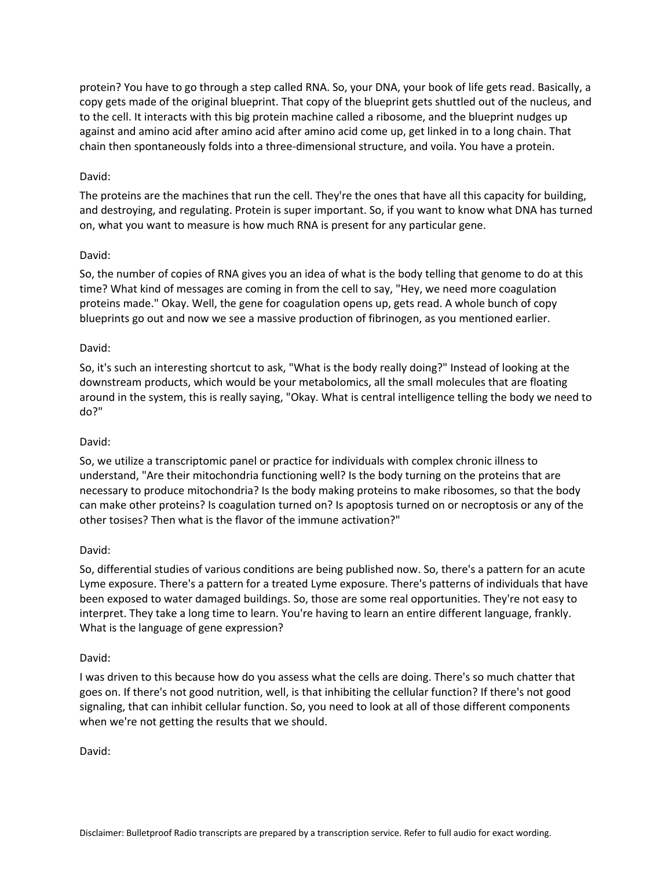protein? You have to go through a step called RNA. So, your DNA, your book of life gets read. Basically, a copy gets made of the original blueprint. That copy of the blueprint gets shuttled out of the nucleus, and to the cell. It interacts with this big protein machine called a ribosome, and the blueprint nudges up against and amino acid after amino acid after amino acid come up, get linked in to a long chain. That chain then spontaneously folds into a three-dimensional structure, and voila. You have a protein.

## David:

The proteins are the machines that run the cell. They're the ones that have all this capacity for building, and destroying, and regulating. Protein is super important. So, if you want to know what DNA has turned on, what you want to measure is how much RNA is present for any particular gene.

## David:

So, the number of copies of RNA gives you an idea of what is the body telling that genome to do at this time? What kind of messages are coming in from the cell to say, "Hey, we need more coagulation proteins made." Okay. Well, the gene for coagulation opens up, gets read. A whole bunch of copy blueprints go out and now we see a massive production of fibrinogen, as you mentioned earlier.

## David:

So, it's such an interesting shortcut to ask, "What is the body really doing?" Instead of looking at the downstream products, which would be your metabolomics, all the small molecules that are floating around in the system, this is really saying, "Okay. What is central intelligence telling the body we need to do?"

### David:

So, we utilize a transcriptomic panel or practice for individuals with complex chronic illness to understand, "Are their mitochondria functioning well? Is the body turning on the proteins that are necessary to produce mitochondria? Is the body making proteins to make ribosomes, so that the body can make other proteins? Is coagulation turned on? Is apoptosis turned on or necroptosis or any of the other tosises? Then what is the flavor of the immune activation?"

### David:

So, differential studies of various conditions are being published now. So, there's a pattern for an acute Lyme exposure. There's a pattern for a treated Lyme exposure. There's patterns of individuals that have been exposed to water damaged buildings. So, those are some real opportunities. They're not easy to interpret. They take a long time to learn. You're having to learn an entire different language, frankly. What is the language of gene expression?

### David:

I was driven to this because how do you assess what the cells are doing. There's so much chatter that goes on. If there's not good nutrition, well, is that inhibiting the cellular function? If there's not good signaling, that can inhibit cellular function. So, you need to look at all of those different components when we're not getting the results that we should.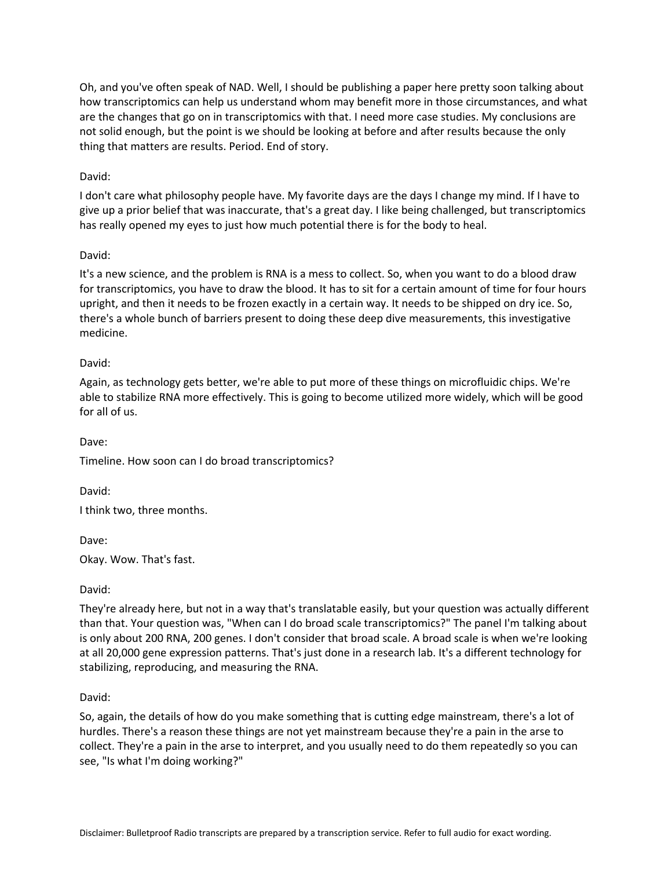Oh, and you've often speak of NAD. Well, I should be publishing a paper here pretty soon talking about how transcriptomics can help us understand whom may benefit more in those circumstances, and what are the changes that go on in transcriptomics with that. I need more case studies. My conclusions are not solid enough, but the point is we should be looking at before and after results because the only thing that matters are results. Period. End of story.

### David:

I don't care what philosophy people have. My favorite days are the days I change my mind. If I have to give up a prior belief that was inaccurate, that's a great day. I like being challenged, but transcriptomics has really opened my eyes to just how much potential there is for the body to heal.

### David:

It's a new science, and the problem is RNA is a mess to collect. So, when you want to do a blood draw for transcriptomics, you have to draw the blood. It has to sit for a certain amount of time for four hours upright, and then it needs to be frozen exactly in a certain way. It needs to be shipped on dry ice. So, there's a whole bunch of barriers present to doing these deep dive measurements, this investigative medicine.

## David:

Again, as technology gets better, we're able to put more of these things on microfluidic chips. We're able to stabilize RNA more effectively. This is going to become utilized more widely, which will be good for all of us.

Dave:

Timeline. How soon can I do broad transcriptomics?

David:

I think two, three months.

Dave:

Okay. Wow. That's fast.

David:

They're already here, but not in a way that's translatable easily, but your question was actually different than that. Your question was, "When can I do broad scale transcriptomics?" The panel I'm talking about is only about 200 RNA, 200 genes. I don't consider that broad scale. A broad scale is when we're looking at all 20,000 gene expression patterns. That's just done in a research lab. It's a different technology for stabilizing, reproducing, and measuring the RNA.

David:

So, again, the details of how do you make something that is cutting edge mainstream, there's a lot of hurdles. There's a reason these things are not yet mainstream because they're a pain in the arse to collect. They're a pain in the arse to interpret, and you usually need to do them repeatedly so you can see, "Is what I'm doing working?"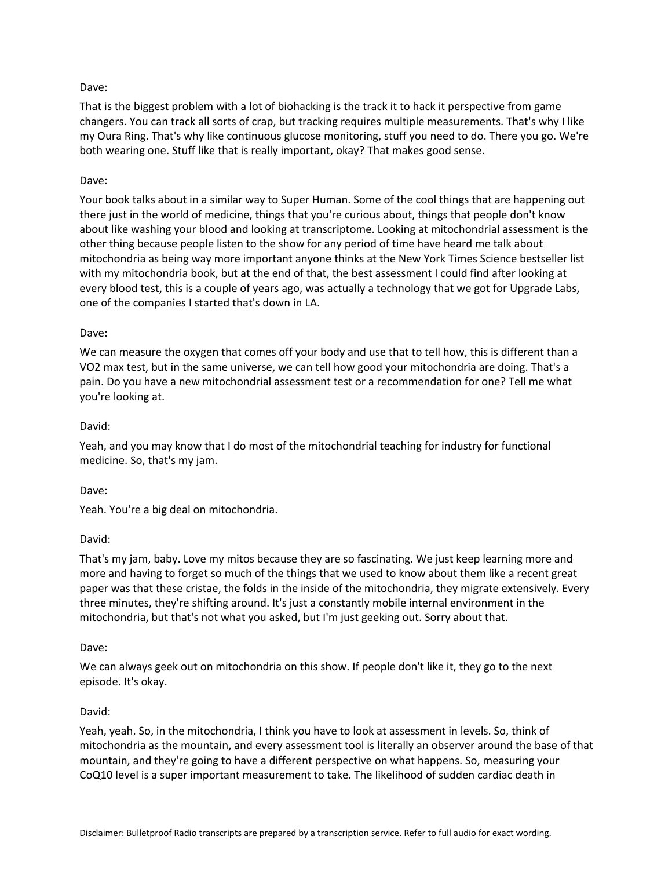That is the biggest problem with a lot of biohacking is the track it to hack it perspective from game changers. You can track all sorts of crap, but tracking requires multiple measurements. That's why I like my Oura Ring. That's why like continuous glucose monitoring, stuff you need to do. There you go. We're both wearing one. Stuff like that is really important, okay? That makes good sense.

## Dave:

Your book talks about in a similar way to Super Human. Some of the cool things that are happening out there just in the world of medicine, things that you're curious about, things that people don't know about like washing your blood and looking at transcriptome. Looking at mitochondrial assessment is the other thing because people listen to the show for any period of time have heard me talk about mitochondria as being way more important anyone thinks at the New York Times Science bestseller list with my mitochondria book, but at the end of that, the best assessment I could find after looking at every blood test, this is a couple of years ago, was actually a technology that we got for Upgrade Labs, one of the companies I started that's down in LA.

## Dave:

We can measure the oxygen that comes off your body and use that to tell how, this is different than a VO2 max test, but in the same universe, we can tell how good your mitochondria are doing. That's a pain. Do you have a new mitochondrial assessment test or a recommendation for one? Tell me what you're looking at.

## David:

Yeah, and you may know that I do most of the mitochondrial teaching for industry for functional medicine. So, that's my jam.

### Dave:

Yeah. You're a big deal on mitochondria.

## David:

That's my jam, baby. Love my mitos because they are so fascinating. We just keep learning more and more and having to forget so much of the things that we used to know about them like a recent great paper was that these cristae, the folds in the inside of the mitochondria, they migrate extensively. Every three minutes, they're shifting around. It's just a constantly mobile internal environment in the mitochondria, but that's not what you asked, but I'm just geeking out. Sorry about that.

## Dave:

We can always geek out on mitochondria on this show. If people don't like it, they go to the next episode. It's okay.

## David:

Yeah, yeah. So, in the mitochondria, I think you have to look at assessment in levels. So, think of mitochondria as the mountain, and every assessment tool is literally an observer around the base of that mountain, and they're going to have a different perspective on what happens. So, measuring your CoQ10 level is a super important measurement to take. The likelihood of sudden cardiac death in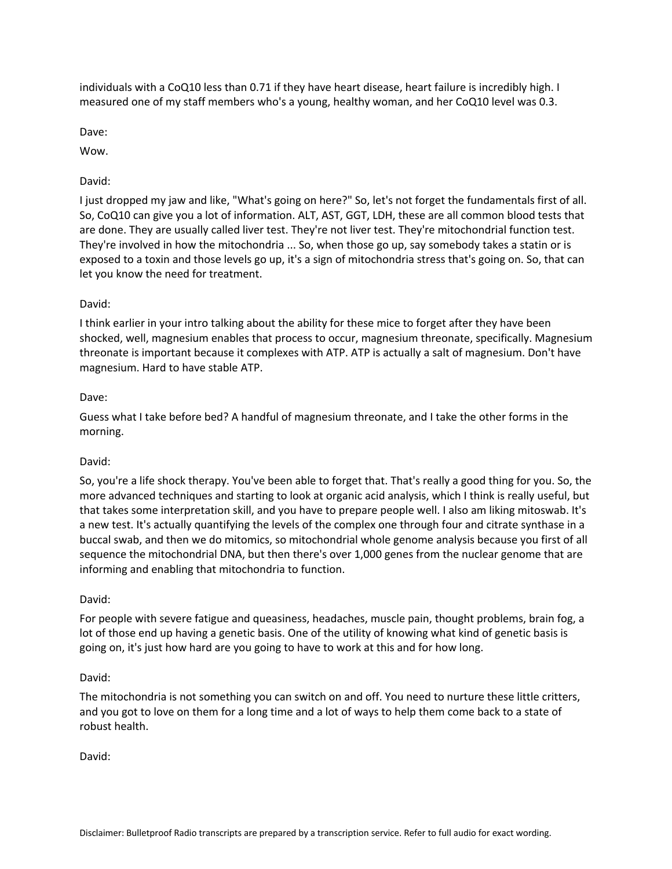individuals with a CoQ10 less than 0.71 if they have heart disease, heart failure is incredibly high. I measured one of my staff members who's a young, healthy woman, and her CoQ10 level was 0.3.

Dave:

Wow.

## David:

I just dropped my jaw and like, "What's going on here?" So, let's not forget the fundamentals first of all. So, CoQ10 can give you a lot of information. ALT, AST, GGT, LDH, these are all common blood tests that are done. They are usually called liver test. They're not liver test. They're mitochondrial function test. They're involved in how the mitochondria ... So, when those go up, say somebody takes a statin or is exposed to a toxin and those levels go up, it's a sign of mitochondria stress that's going on. So, that can let you know the need for treatment.

## David:

I think earlier in your intro talking about the ability for these mice to forget after they have been shocked, well, magnesium enables that process to occur, magnesium threonate, specifically. Magnesium threonate is important because it complexes with ATP. ATP is actually a salt of magnesium. Don't have magnesium. Hard to have stable ATP.

## Dave:

Guess what I take before bed? A handful of magnesium threonate, and I take the other forms in the morning.

### David:

So, you're a life shock therapy. You've been able to forget that. That's really a good thing for you. So, the more advanced techniques and starting to look at organic acid analysis, which I think is really useful, but that takes some interpretation skill, and you have to prepare people well. I also am liking mitoswab. It's a new test. It's actually quantifying the levels of the complex one through four and citrate synthase in a buccal swab, and then we do mitomics, so mitochondrial whole genome analysis because you first of all sequence the mitochondrial DNA, but then there's over 1,000 genes from the nuclear genome that are informing and enabling that mitochondria to function.

### David:

For people with severe fatigue and queasiness, headaches, muscle pain, thought problems, brain fog, a lot of those end up having a genetic basis. One of the utility of knowing what kind of genetic basis is going on, it's just how hard are you going to have to work at this and for how long.

### David:

The mitochondria is not something you can switch on and off. You need to nurture these little critters, and you got to love on them for a long time and a lot of ways to help them come back to a state of robust health.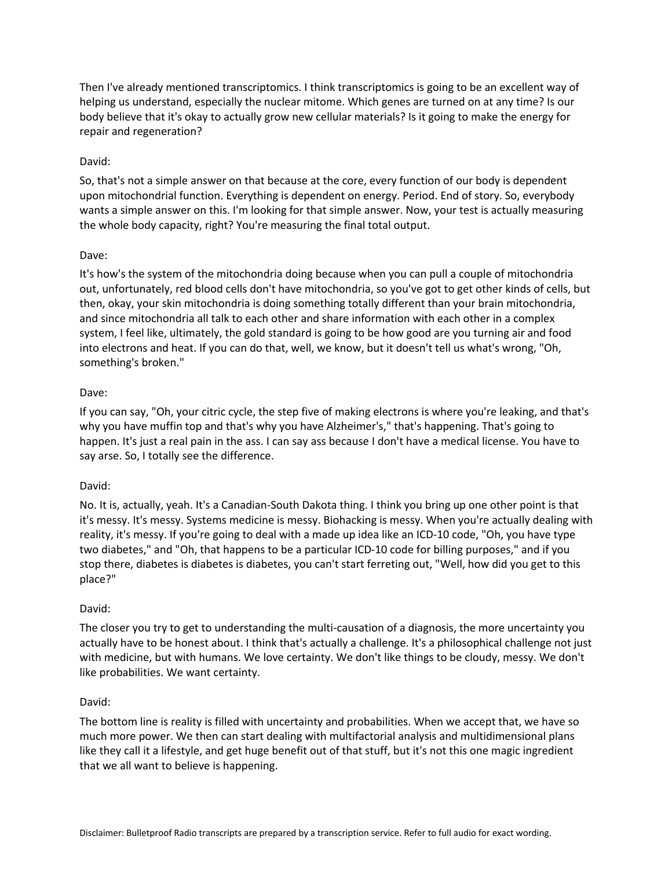Then I've already mentioned transcriptomics. I think transcriptomics is going to be an excellent way of helping us understand, especially the nuclear mitome. Which genes are turned on at any time? Is our body believe that it's okay to actually grow new cellular materials? Is it going to make the energy for repair and regeneration?

## David:

So, that's not a simple answer on that because at the core, every function of our body is dependent upon mitochondrial function. Everything is dependent on energy. Period. End of story. So, everybody wants a simple answer on this. I'm looking for that simple answer. Now, your test is actually measuring the whole body capacity, right? You're measuring the final total output.

## Dave:

It's how's the system of the mitochondria doing because when you can pull a couple of mitochondria out, unfortunately, red blood cells don't have mitochondria, so you've got to get other kinds of cells, but then, okay, your skin mitochondria is doing something totally different than your brain mitochondria, and since mitochondria all talk to each other and share information with each other in a complex system, I feel like, ultimately, the gold standard is going to be how good are you turning air and food into electrons and heat. If you can do that, well, we know, but it doesn't tell us what's wrong, "Oh, something's broken."

## Dave:

If you can say, "Oh, your citric cycle, the step five of making electrons is where you're leaking, and that's why you have muffin top and that's why you have Alzheimer's," that's happening. That's going to happen. It's just a real pain in the ass. I can say ass because I don't have a medical license. You have to say arse. So, I totally see the difference.

### David:

No. It is, actually, yeah. It's a Canadian-South Dakota thing. I think you bring up one other point is that it's messy. It's messy. Systems medicine is messy. Biohacking is messy. When you're actually dealing with reality, it's messy. If you're going to deal with a made up idea like an ICD-10 code, "Oh, you have type two diabetes," and "Oh, that happens to be a particular ICD-10 code for billing purposes," and if you stop there, diabetes is diabetes is diabetes, you can't start ferreting out, "Well, how did you get to this place?"

### David:

The closer you try to get to understanding the multi-causation of a diagnosis, the more uncertainty you actually have to be honest about. I think that's actually a challenge. It's a philosophical challenge not just with medicine, but with humans. We love certainty. We don't like things to be cloudy, messy. We don't like probabilities. We want certainty.

### David:

The bottom line is reality is filled with uncertainty and probabilities. When we accept that, we have so much more power. We then can start dealing with multifactorial analysis and multidimensional plans like they call it a lifestyle, and get huge benefit out of that stuff, but it's not this one magic ingredient that we all want to believe is happening.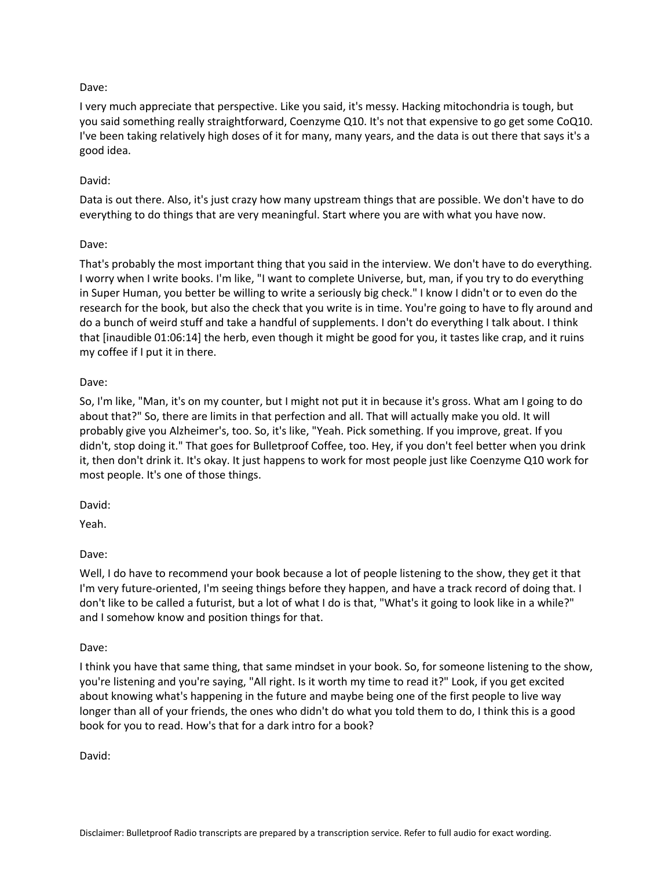I very much appreciate that perspective. Like you said, it's messy. Hacking mitochondria is tough, but you said something really straightforward, Coenzyme Q10. It's not that expensive to go get some CoQ10. I've been taking relatively high doses of it for many, many years, and the data is out there that says it's a good idea.

# David:

Data is out there. Also, it's just crazy how many upstream things that are possible. We don't have to do everything to do things that are very meaningful. Start where you are with what you have now.

## Dave:

That's probably the most important thing that you said in the interview. We don't have to do everything. I worry when I write books. I'm like, "I want to complete Universe, but, man, if you try to do everything in Super Human, you better be willing to write a seriously big check." I know I didn't or to even do the research for the book, but also the check that you write is in time. You're going to have to fly around and do a bunch of weird stuff and take a handful of supplements. I don't do everything I talk about. I think that [inaudible 01:06:14] the herb, even though it might be good for you, it tastes like crap, and it ruins my coffee if I put it in there.

## Dave:

So, I'm like, "Man, it's on my counter, but I might not put it in because it's gross. What am I going to do about that?" So, there are limits in that perfection and all. That will actually make you old. It will probably give you Alzheimer's, too. So, it's like, "Yeah. Pick something. If you improve, great. If you didn't, stop doing it." That goes for Bulletproof Coffee, too. Hey, if you don't feel better when you drink it, then don't drink it. It's okay. It just happens to work for most people just like Coenzyme Q10 work for most people. It's one of those things.

David:

Yeah.

Dave:

Well, I do have to recommend your book because a lot of people listening to the show, they get it that I'm very future-oriented, I'm seeing things before they happen, and have a track record of doing that. I don't like to be called a futurist, but a lot of what I do is that, "What's it going to look like in a while?" and I somehow know and position things for that.

Dave:

I think you have that same thing, that same mindset in your book. So, for someone listening to the show, you're listening and you're saying, "All right. Is it worth my time to read it?" Look, if you get excited about knowing what's happening in the future and maybe being one of the first people to live way longer than all of your friends, the ones who didn't do what you told them to do, I think this is a good book for you to read. How's that for a dark intro for a book?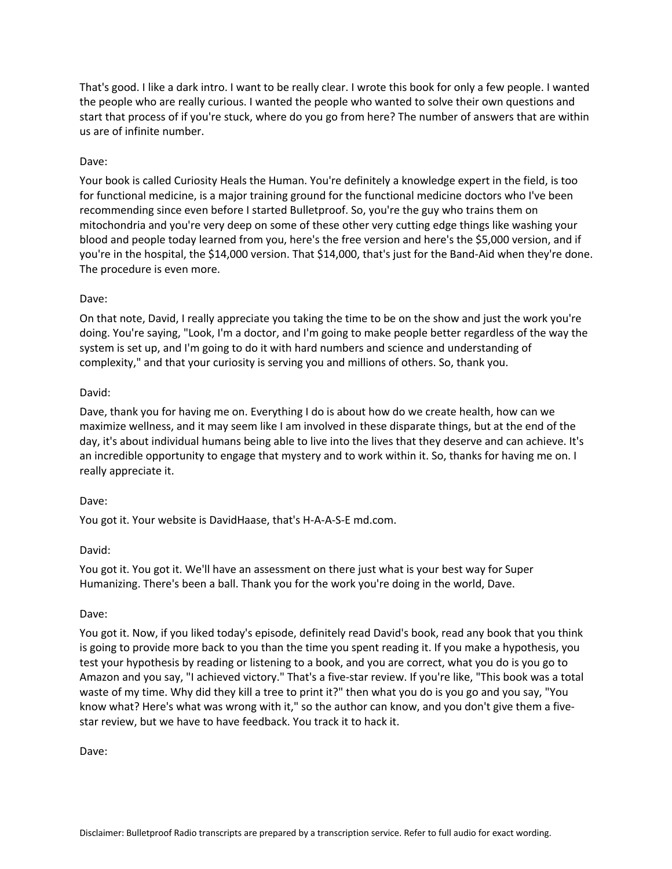That's good. I like a dark intro. I want to be really clear. I wrote this book for only a few people. I wanted the people who are really curious. I wanted the people who wanted to solve their own questions and start that process of if you're stuck, where do you go from here? The number of answers that are within us are of infinite number.

## Dave:

Your book is called Curiosity Heals the Human. You're definitely a knowledge expert in the field, is too for functional medicine, is a major training ground for the functional medicine doctors who I've been recommending since even before I started Bulletproof. So, you're the guy who trains them on mitochondria and you're very deep on some of these other very cutting edge things like washing your blood and people today learned from you, here's the free version and here's the \$5,000 version, and if you're in the hospital, the \$14,000 version. That \$14,000, that's just for the Band-Aid when they're done. The procedure is even more.

### Dave:

On that note, David, I really appreciate you taking the time to be on the show and just the work you're doing. You're saying, "Look, I'm a doctor, and I'm going to make people better regardless of the way the system is set up, and I'm going to do it with hard numbers and science and understanding of complexity," and that your curiosity is serving you and millions of others. So, thank you.

### David:

Dave, thank you for having me on. Everything I do is about how do we create health, how can we maximize wellness, and it may seem like I am involved in these disparate things, but at the end of the day, it's about individual humans being able to live into the lives that they deserve and can achieve. It's an incredible opportunity to engage that mystery and to work within it. So, thanks for having me on. I really appreciate it.

### Dave:

You got it. Your website is DavidHaase, that's H-A-A-S-E md.com.

### David:

You got it. You got it. We'll have an assessment on there just what is your best way for Super Humanizing. There's been a ball. Thank you for the work you're doing in the world, Dave.

### Dave:

You got it. Now, if you liked today's episode, definitely read David's book, read any book that you think is going to provide more back to you than the time you spent reading it. If you make a hypothesis, you test your hypothesis by reading or listening to a book, and you are correct, what you do is you go to Amazon and you say, "I achieved victory." That's a five-star review. If you're like, "This book was a total waste of my time. Why did they kill a tree to print it?" then what you do is you go and you say, "You know what? Here's what was wrong with it," so the author can know, and you don't give them a fivestar review, but we have to have feedback. You track it to hack it.